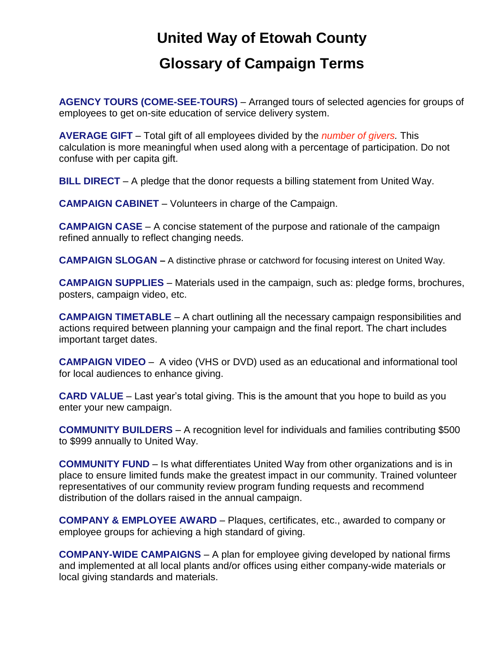## **United Way of Etowah County Glossary of Campaign Terms**

**AGENCY TOURS (COME-SEE-TOURS)** – Arranged tours of selected agencies for groups of employees to get on-site education of service delivery system.

**AVERAGE GIFT** – Total gift of all employees divided by the *number of givers.* This calculation is more meaningful when used along with a percentage of participation. Do not confuse with per capita gift.

**BILL DIRECT** – A pledge that the donor requests a billing statement from United Way.

**CAMPAIGN CABINET** – Volunteers in charge of the Campaign.

**CAMPAIGN CASE** – A concise statement of the purpose and rationale of the campaign refined annually to reflect changing needs.

**CAMPAIGN SLOGAN –** A distinctive phrase or catchword for focusing interest on United Way.

**CAMPAIGN SUPPLIES** – Materials used in the campaign, such as: pledge forms, brochures, posters, campaign video, etc.

**CAMPAIGN TIMETABLE** – A chart outlining all the necessary campaign responsibilities and actions required between planning your campaign and the final report. The chart includes important target dates.

**CAMPAIGN VIDEO** – A video (VHS or DVD) used as an educational and informational tool for local audiences to enhance giving.

**CARD VALUE** – Last year's total giving. This is the amount that you hope to build as you enter your new campaign.

**COMMUNITY BUILDERS** – A recognition level for individuals and families contributing \$500 to \$999 annually to United Way.

**COMMUNITY FUND** – Is what differentiates United Way from other organizations and is in place to ensure limited funds make the greatest impact in our community. Trained volunteer representatives of our community review program funding requests and recommend distribution of the dollars raised in the annual campaign.

**COMPANY & EMPLOYEE AWARD** – Plaques, certificates, etc., awarded to company or employee groups for achieving a high standard of giving.

**COMPANY-WIDE CAMPAIGNS** – A plan for employee giving developed by national firms and implemented at all local plants and/or offices using either company-wide materials or local giving standards and materials.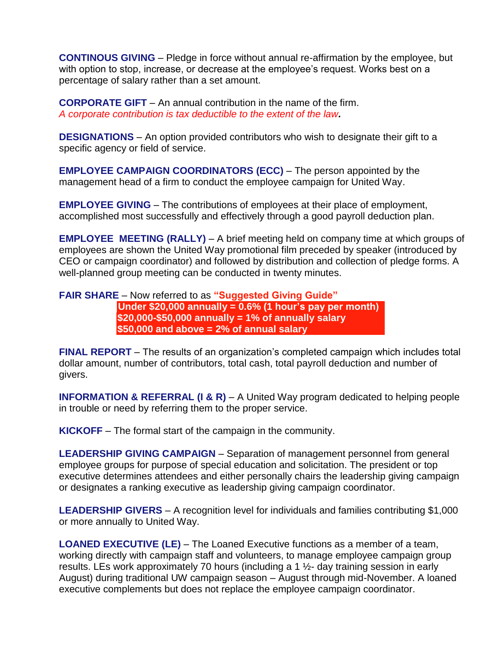**CONTINOUS GIVING** – Pledge in force without annual re-affirmation by the employee, but with option to stop, increase, or decrease at the employee's request. Works best on a percentage of salary rather than a set amount.

**CORPORATE GIFT** – An annual contribution in the name of the firm. *A corporate contribution is tax deductible to the extent of the law.*

**DESIGNATIONS** – An option provided contributors who wish to designate their gift to a specific agency or field of service.

**EMPLOYEE CAMPAIGN COORDINATORS (ECC)** – The person appointed by the management head of a firm to conduct the employee campaign for United Way.

**EMPLOYEE GIVING** – The contributions of employees at their place of employment, accomplished most successfully and effectively through a good payroll deduction plan.

**EMPLOYEE MEETING (RALLY)** – A brief meeting held on company time at which groups of employees are shown the United Way promotional film preceded by speaker (introduced by CEO or campaign coordinator) and followed by distribution and collection of pledge forms. A well-planned group meeting can be conducted in twenty minutes.

## **FAIR SHARE** – Now referred to as **"Suggested Giving Guide" Under \$20,000 annually = 0.6% (1 hour's pay per month) \$20,000-\$50,000 annually = 1% of annually salary \$50,000 and above = 2% of annual salary**

**FINAL REPORT** – The results of an organization's completed campaign which includes total dollar amount, number of contributors, total cash, total payroll deduction and number of givers.

**INFORMATION & REFERRAL (I & R)** – A United Way program dedicated to helping people in trouble or need by referring them to the proper service.

**KICKOFF** – The formal start of the campaign in the community.

**LEADERSHIP GIVING CAMPAIGN** – Separation of management personnel from general employee groups for purpose of special education and solicitation. The president or top executive determines attendees and either personally chairs the leadership giving campaign or designates a ranking executive as leadership giving campaign coordinator.

**LEADERSHIP GIVERS** – A recognition level for individuals and families contributing \$1,000 or more annually to United Way.

**LOANED EXECUTIVE (LE)** – The Loaned Executive functions as a member of a team, working directly with campaign staff and volunteers, to manage employee campaign group results. LEs work approximately 70 hours (including a 1 ½- day training session in early August) during traditional UW campaign season – August through mid-November. A loaned executive complements but does not replace the employee campaign coordinator.